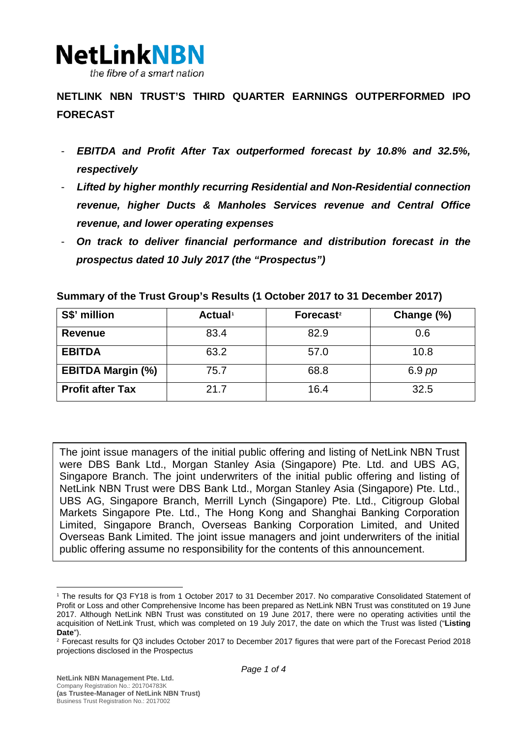

**NETLINK NBN TRUST'S THIRD QUARTER EARNINGS OUTPERFORMED IPO FORECAST**

- *EBITDA and Profit After Tax outperformed forecast by 10.8% and 32.5%, respectively*
- *Lifted by higher monthly recurring Residential and Non-Residential connection revenue, higher Ducts & Manholes Services revenue and Central Office revenue, and lower operating expenses*
- *On track to deliver financial performance and distribution forecast in the prospectus dated 10 July 2017 (the "Prospectus")*

| S\$' million             | <b>Actual</b> <sup>1</sup> | Forecast <sup>2</sup> | Change (%) |
|--------------------------|----------------------------|-----------------------|------------|
| Revenue                  | 83.4                       | 82.9                  | 0.6        |
| <b>EBITDA</b>            | 63.2                       | 57.0                  | 10.8       |
| <b>EBITDA Margin (%)</b> | 75.7                       | 68.8                  | 6.9 pp     |
| <b>Profit after Tax</b>  | 21.7                       | 16.4                  | 32.5       |

**Summary of the Trust Group's Results (1 October 2017 to 31 December 2017)**

The joint issue managers of the initial public offering and listing of NetLink NBN Trust were DBS Bank Ltd., Morgan Stanley Asia (Singapore) Pte. Ltd. and UBS AG, Singapore Branch. The joint underwriters of the initial public offering and listing of NetLink NBN Trust were DBS Bank Ltd., Morgan Stanley Asia (Singapore) Pte. Ltd., UBS AG, Singapore Branch, Merrill Lynch (Singapore) Pte. Ltd., Citigroup Global Markets Singapore Pte. Ltd., The Hong Kong and Shanghai Banking Corporation Limited, Singapore Branch, Overseas Banking Corporation Limited, and United Overseas Bank Limited. The joint issue managers and joint underwriters of the initial public offering assume no responsibility for the contents of this announcement.

<span id="page-0-0"></span><sup>1</sup> The results for Q3 FY18 is from 1 October 2017 to 31 December 2017. No comparative Consolidated Statement of Profit or Loss and other Comprehensive Income has been prepared as NetLink NBN Trust was constituted on 19 June 2017. Although NetLink NBN Trust was constituted on 19 June 2017, there were no operating activities until the acquisition of NetLink Trust, which was completed on 19 July 2017, the date on which the Trust was listed ("**Listing** 

<span id="page-0-1"></span><sup>&</sup>lt;sup>2</sup> Forecast results for Q3 includes October 2017 to December 2017 figures that were part of the Forecast Period 2018 projections disclosed in the Prospectus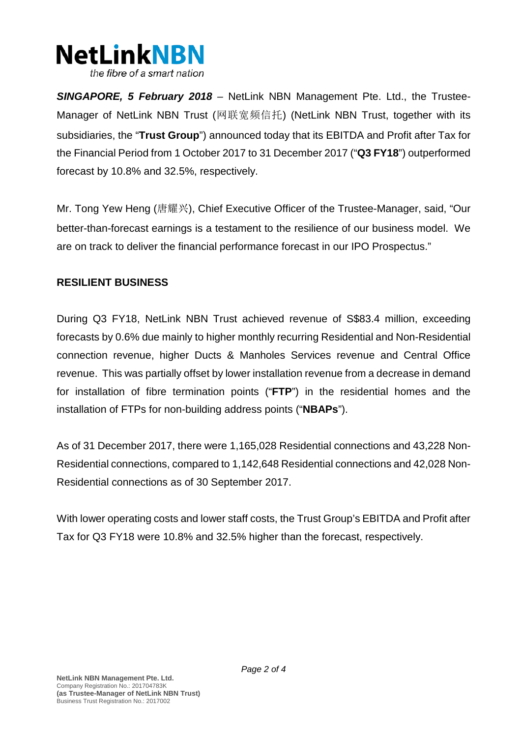

*SINGAPORE, 5 February 2018 –* NetLink NBN Management Pte. Ltd., the Trustee-Manager of NetLink NBN Trust (网联宽频信托) (NetLink NBN Trust, together with its subsidiaries, the "**Trust Group**") announced today that its EBITDA and Profit after Tax for the Financial Period from 1 October 2017 to 31 December 2017 ("**Q3 FY18**") outperformed forecast by 10.8% and 32.5%, respectively.

Mr. Tong Yew Heng (唐耀兴), Chief Executive Officer of the Trustee-Manager, said, "Our better-than-forecast earnings is a testament to the resilience of our business model. We are on track to deliver the financial performance forecast in our IPO Prospectus."

#### **RESILIENT BUSINESS**

During Q3 FY18, NetLink NBN Trust achieved revenue of S\$83.4 million, exceeding forecasts by 0.6% due mainly to higher monthly recurring Residential and Non-Residential connection revenue, higher Ducts & Manholes Services revenue and Central Office revenue. This was partially offset by lower installation revenue from a decrease in demand for installation of fibre termination points ("**FTP**") in the residential homes and the installation of FTPs for non-building address points ("**NBAPs**").

As of 31 December 2017, there were 1,165,028 Residential connections and 43,228 Non-Residential connections, compared to 1,142,648 Residential connections and 42,028 Non-Residential connections as of 30 September 2017.

With lower operating costs and lower staff costs, the Trust Group's EBITDA and Profit after Tax for Q3 FY18 were 10.8% and 32.5% higher than the forecast, respectively.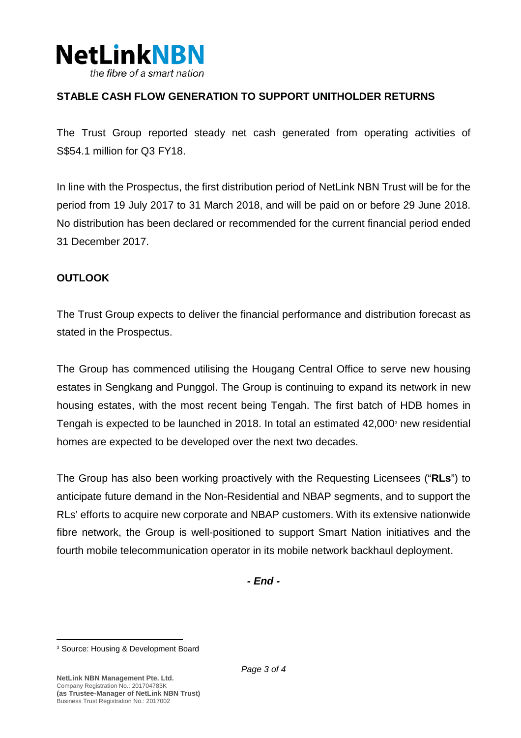

### **STABLE CASH FLOW GENERATION TO SUPPORT UNITHOLDER RETURNS**

The Trust Group reported steady net cash generated from operating activities of S\$54.1 million for Q3 FY18.

In line with the Prospectus, the first distribution period of NetLink NBN Trust will be for the period from 19 July 2017 to 31 March 2018, and will be paid on or before 29 June 2018. No distribution has been declared or recommended for the current financial period ended 31 December 2017.

#### **OUTLOOK**

The Trust Group expects to deliver the financial performance and distribution forecast as stated in the Prospectus.

The Group has commenced utilising the Hougang Central Office to serve new housing estates in Sengkang and Punggol. The Group is continuing to expand its network in new housing estates, with the most recent being Tengah. The first batch of HDB homes in Tengah is expected to be launched in 2018. In total an estimated  $42,000$ <sup>[3](#page-2-0)</sup> new residential homes are expected to be developed over the next two decades.

The Group has also been working proactively with the Requesting Licensees ("**RLs**") to anticipate future demand in the Non-Residential and NBAP segments, and to support the RLs' efforts to acquire new corporate and NBAP customers. With its extensive nationwide fibre network, the Group is well-positioned to support Smart Nation initiatives and the fourth mobile telecommunication operator in its mobile network backhaul deployment.

*- End -*

<span id="page-2-0"></span><sup>3</sup> Source: Housing & Development Board